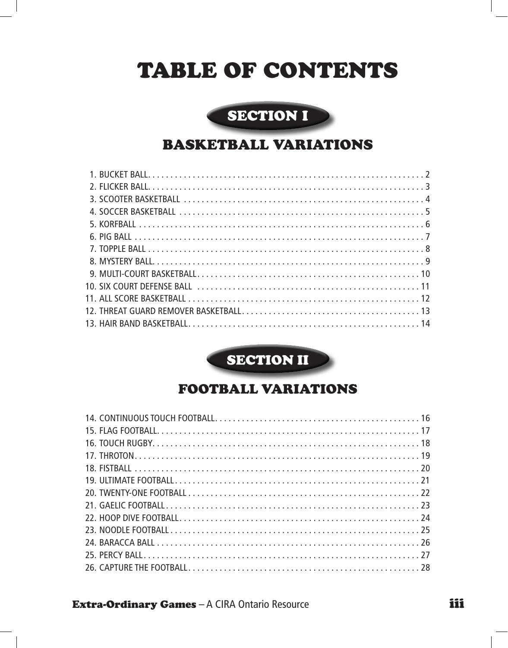# TABLE of CONTENTS

## SECTION I

### Basketball Variations

SECTION II

## Football Variations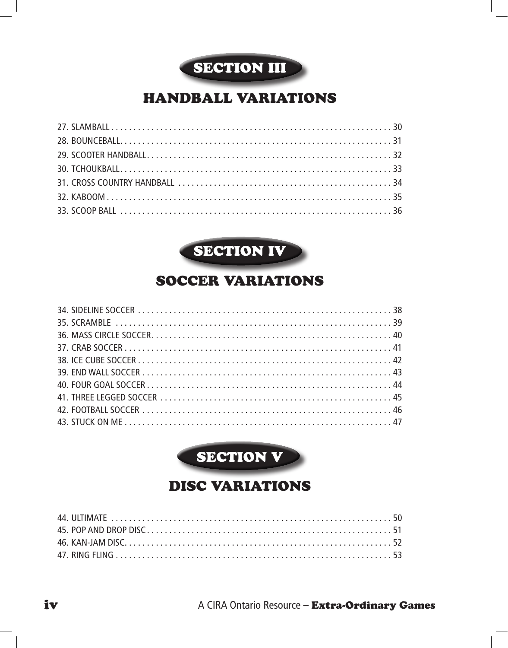

# Handball Variations



# soccer Variations



# Disc Variations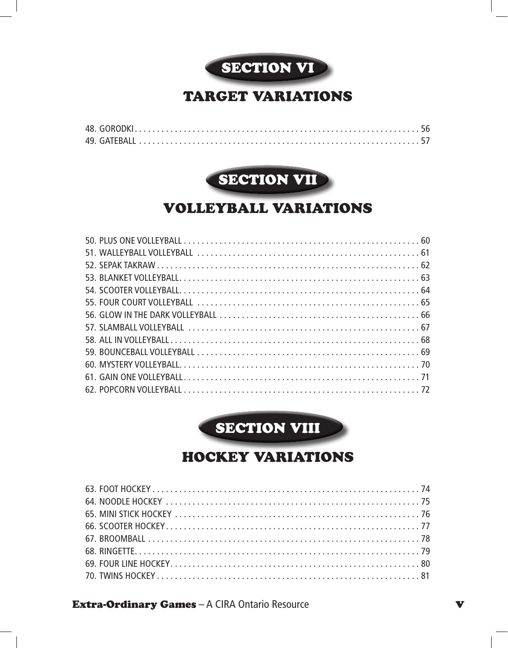

### Target Variations



### Volleyball Variations

**SECTION VIII** 

## Hockey Variations

**Extra-Ordinary Games** – A CIRA Ontario Resource values and values values values values values values values values v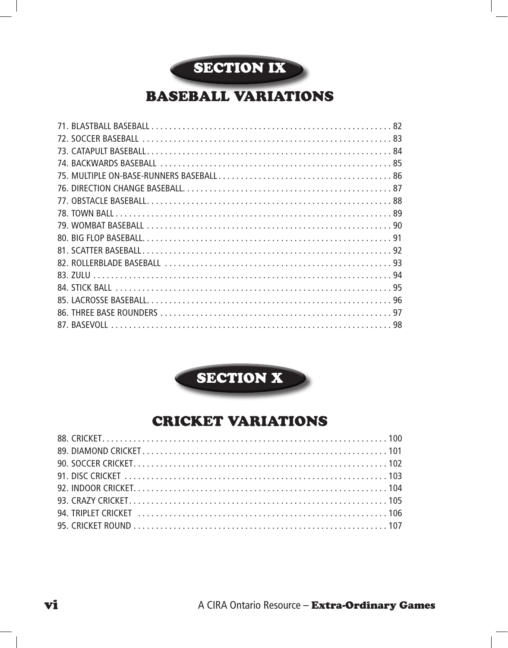

# Baseball Variations



## Cricket Variations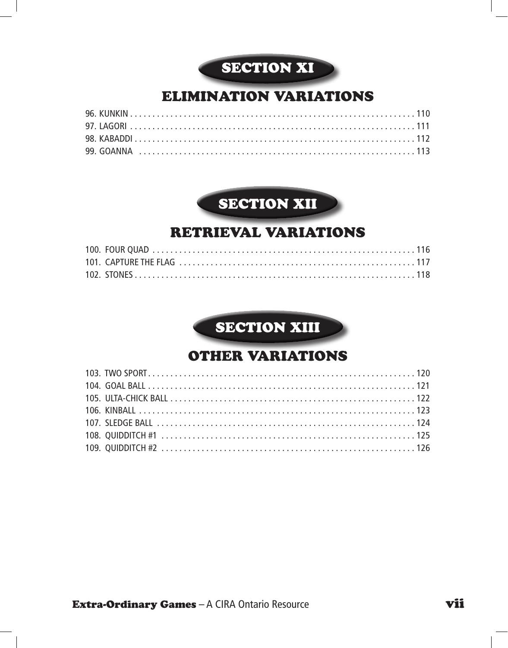# SECTION XI

## Elimination Variations

# **SECTION XII**

### Retrieval Variations

# **SECTION XIII**

### Other Variations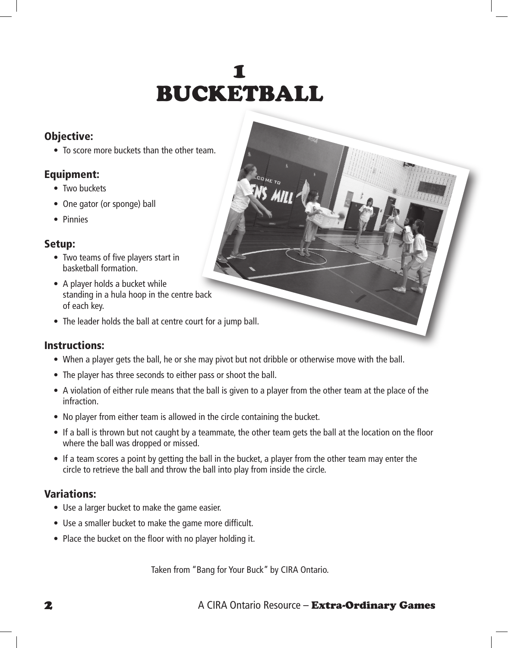# $\blacksquare$ Bucketball

#### Objective:

• To score more buckets than the other team.

#### Equipment:

- Two buckets
- One gator (or sponge) ball
- • Pinnies

#### Setup:

- Two teams of five players start in basketball formation.
- A player holds a bucket while standing in a hula hoop in the centre back of each key.
- The leader holds the ball at centre court for a jump ball.

#### Instructions:

- When a player gets the ball, he or she may pivot but not dribble or otherwise move with the ball.
- The player has three seconds to either pass or shoot the ball.
- A violation of either rule means that the ball is given to a player from the other team at the place of the infraction.
- No player from either team is allowed in the circle containing the bucket.
- If a ball is thrown but not caught by a teammate, the other team gets the ball at the location on the floor where the ball was dropped or missed.
- If a team scores a point by getting the ball in the bucket, a player from the other team may enter the circle to retrieve the ball and throw the ball into play from inside the circle.

#### Variations:

- Use a larger bucket to make the game easier.
- Use a smaller bucket to make the game more difficult.
- Place the bucket on the floor with no player holding it.

Taken from "Bang for Your Buck" by CIRA Ontario.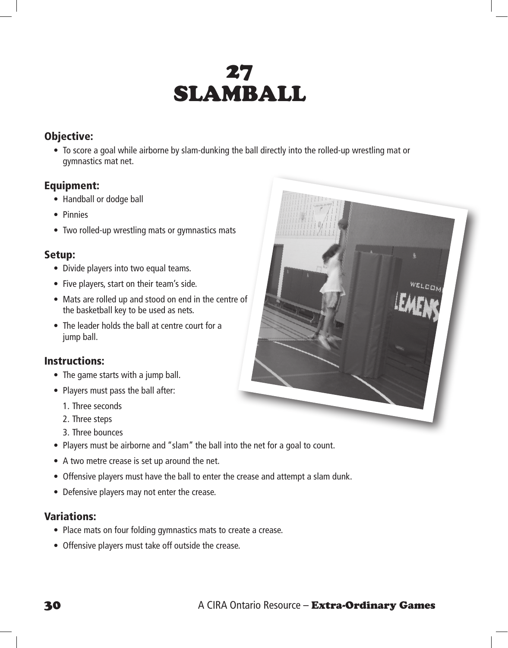# 27 **SLAMBALL**

#### Objective:

• To score a goal while airborne by slam-dunking the ball directly into the rolled-up wrestling mat or gymnastics mat net.

#### Equipment:

- Handball or dodge ball
- • Pinnies
- Two rolled-up wrestling mats or gymnastics mats

#### Setup:

- Divide players into two equal teams.
- Five players, start on their team's side.
- Mats are rolled up and stood on end in the centre of the basketball key to be used as nets.
- The leader holds the ball at centre court for a jump ball.

#### Instructions:

- The game starts with a jump ball.
- Players must pass the ball after:
	- 1. Three seconds
	- 2. Three steps
	- 3. Three bounces
- Players must be airborne and "slam" the ball into the net for a goal to count.
- A two metre crease is set up around the net.
- Offensive players must have the ball to enter the crease and attempt a slam dunk.
- Defensive players may not enter the crease.

#### Variations:

- Place mats on four folding gymnastics mats to create a crease.
- Offensive players must take off outside the crease.

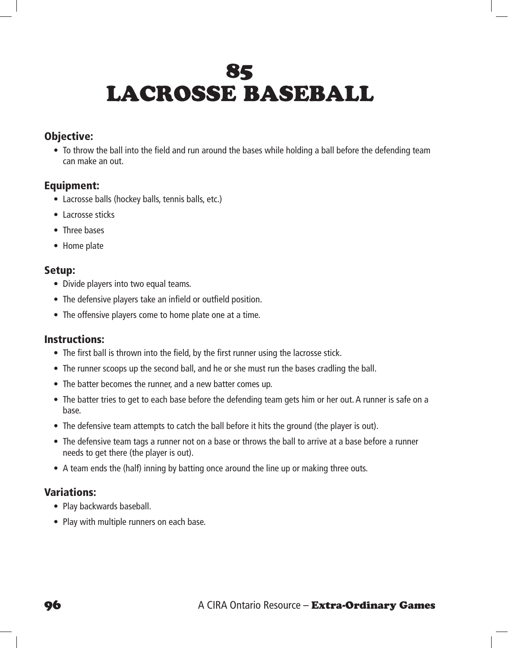# 85 Lacrosse Baseball

#### Objective:

• To throw the ball into the field and run around the bases while holding a ball before the defending team can make an out.

#### Equipment:

- Lacrosse balls (hockey balls, tennis balls, etc.)
- Lacrosse sticks
- Three bases
- Home plate

#### Setup:

- Divide players into two equal teams.
- The defensive players take an infield or outfield position.
- The offensive players come to home plate one at a time.

#### Instructions:

- The first ball is thrown into the field, by the first runner using the lacrosse stick.
- The runner scoops up the second ball, and he or she must run the bases cradling the ball.
- The batter becomes the runner, and a new batter comes up.
- The batter tries to get to each base before the defending team gets him or her out. A runner is safe on a base.
- The defensive team attempts to catch the ball before it hits the ground (the player is out).
- The defensive team tags a runner not on a base or throws the ball to arrive at a base before a runner needs to get there (the player is out).
- A team ends the (half) inning by batting once around the line up or making three outs.

#### Variations:

- Play backwards baseball.
- Play with multiple runners on each base.